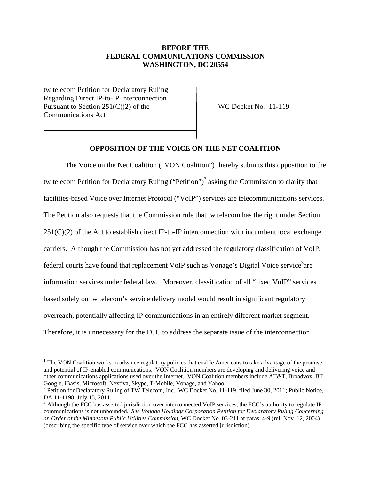# **BEFORE THE FEDERAL COMMUNICATIONS COMMISSION WASHINGTON, DC 20554**

tw telecom Petition for Declaratory Ruling Regarding Direct IP-to-IP Interconnection Pursuant to Section 251(C)(2) of the WC Docket No. 11-119 Communications Act

 $\overline{\phantom{a}}$ 

## **OPPOSITION OF THE VOICE ON THE NET COALITION**

The Voice on the Net Coalition ("VON Coalition")<sup>1</sup> hereby submits this opposition to the tw telecom Petition for Declaratory Ruling ("Petition")<sup>2</sup> asking the Commission to clarify that facilities-based Voice over Internet Protocol ("VoIP") services are telecommunications services. The Petition also requests that the Commission rule that tw telecom has the right under Section  $251(C)(2)$  of the Act to establish direct IP-to-IP interconnection with incumbent local exchange carriers. Although the Commission has not yet addressed the regulatory classification of VoIP, federal courts have found that replacement VoIP such as Vonage's Digital Voice service<sup>3</sup>are information services under federal law. Moreover, classification of all "fixed VoIP" services based solely on tw telecom's service delivery model would result in significant regulatory overreach, potentially affecting IP communications in an entirely different market segment. Therefore, it is unnecessary for the FCC to address the separate issue of the interconnection

<sup>&</sup>lt;sup>1</sup> The VON Coalition works to advance regulatory policies that enable Americans to take advantage of the promise and potential of IP-enabled communications. VON Coalition members are developing and delivering voice and other communications applications used over the Internet. VON Coalition members include AT&T, Broadvox, BT, Google, iBasis, Microsoft, Nextiva, Skype, T-Mobile, Vonage, and Yahoo. 2

<sup>&</sup>lt;sup>2</sup> Petition for Declaratory Ruling of TW Telecom, Inc., WC Docket No. 11-119, filed June 30, 2011; Public Notice, DA 11-1198, July 15, 2011.

<sup>&</sup>lt;sup>3</sup> Although the FCC has asserted jurisdiction over interconnected VoIP services, the FCC's authority to regulate IP communications is not unbounded. *See Vonage Holdings Corporation Petition for Declaratory Ruling Concerning an Order of the Minnesota Public Utilities Commission*, WC Docket No. 03-211 at paras. 4-9 (rel. Nov. 12, 2004) (describing the specific type of service over which the FCC has asserted jurisdiction).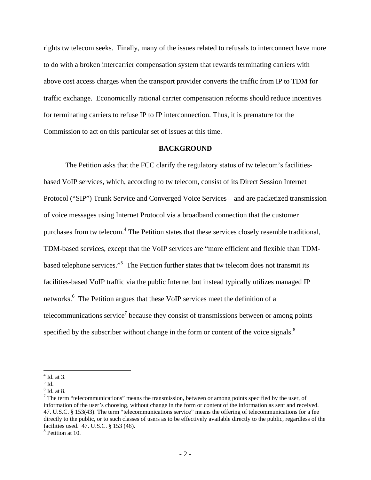rights tw telecom seeks. Finally, many of the issues related to refusals to interconnect have more to do with a broken intercarrier compensation system that rewards terminating carriers with above cost access charges when the transport provider converts the traffic from IP to TDM for traffic exchange. Economically rational carrier compensation reforms should reduce incentives for terminating carriers to refuse IP to IP interconnection. Thus, it is premature for the Commission to act on this particular set of issues at this time.

#### **BACKGROUND**

 The Petition asks that the FCC clarify the regulatory status of tw telecom's facilitiesbased VoIP services, which, according to tw telecom, consist of its Direct Session Internet Protocol ("SIP") Trunk Service and Converged Voice Services – and are packetized transmission of voice messages using Internet Protocol via a broadband connection that the customer purchases from tw telecom.<sup>4</sup> The Petition states that these services closely resemble traditional, TDM-based services, except that the VoIP services are "more efficient and flexible than TDMbased telephone services."<sup>5</sup> The Petition further states that tw telecom does not transmit its facilities-based VoIP traffic via the public Internet but instead typically utilizes managed IP networks.<sup>6</sup> The Petition argues that these VoIP services meet the definition of a telecommunications service<sup>7</sup> because they consist of transmissions between or among points specified by the subscriber without change in the form or content of the voice signals. $8$ 

 $\overline{\phantom{a}}$ 

<sup>4</sup> Id. at 3.

 $<sup>5</sup>$  Id.</sup>

<sup>6</sup> Id. at 8.

 $<sup>7</sup>$  The term "telecommunications" means the transmission, between or among points specified by the user, of</sup> information of the user's choosing, without change in the form or content of the information as sent and received. 47. U.S.C. § 153(43). The term "telecommunications service" means the offering of telecommunications for a fee directly to the public, or to such classes of users as to be effectively available directly to the public, regardless of the facilities used. 47. U.S.C. § 153 (46).

<sup>8</sup> Petition at 10.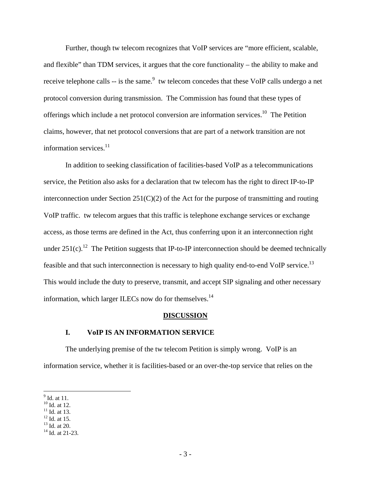Further, though tw telecom recognizes that VoIP services are "more efficient, scalable, and flexible" than TDM services, it argues that the core functionality – the ability to make and receive telephone calls  $-$  is the same.<sup>9</sup> tw telecom concedes that these VoIP calls undergo a net protocol conversion during transmission. The Commission has found that these types of offerings which include a net protocol conversion are information services.<sup>10</sup> The Petition claims, however, that net protocol conversions that are part of a network transition are not information services. $11$ 

 In addition to seeking classification of facilities-based VoIP as a telecommunications service, the Petition also asks for a declaration that tw telecom has the right to direct IP-to-IP interconnection under Section  $251(C)(2)$  of the Act for the purpose of transmitting and routing VoIP traffic. tw telecom argues that this traffic is telephone exchange services or exchange access, as those terms are defined in the Act, thus conferring upon it an interconnection right under  $251(c)$ .<sup>12</sup> The Petition suggests that IP-to-IP interconnection should be deemed technically feasible and that such interconnection is necessary to high quality end-to-end VoIP service.<sup>13</sup> This would include the duty to preserve, transmit, and accept SIP signaling and other necessary information, which larger ILECs now do for themselves.<sup>14</sup>

#### **DISCUSSION**

### **I. VoIP IS AN INFORMATION SERVICE**

The underlying premise of the tw telecom Petition is simply wrong. VoIP is an information service, whether it is facilities-based or an over-the-top service that relies on the

 $\frac{9}{9}$ Id. at 11.

<sup>&</sup>lt;sup>10</sup> Id. at 12.

 $11$  Id. at 13.

 $12$  Id. at 15.

<sup>13</sup> Id. at 20.

<sup>&</sup>lt;sup>14</sup> Id. at 21-23.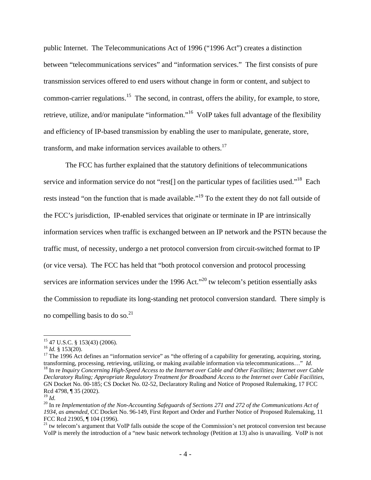public Internet. The Telecommunications Act of 1996 ("1996 Act") creates a distinction between "telecommunications services" and "information services." The first consists of pure transmission services offered to end users without change in form or content, and subject to common-carrier regulations.<sup>15</sup> The second, in contrast, offers the ability, for example, to store, retrieve, utilize, and/or manipulate "information."<sup>16</sup> VoIP takes full advantage of the flexibility and efficiency of IP-based transmission by enabling the user to manipulate, generate, store, transform, and make information services available to others. $17$ 

 The FCC has further explained that the statutory definitions of telecommunications service and information service do not "rest[] on the particular types of facilities used."<sup>18</sup> Each rests instead "on the function that is made available."<sup>19</sup> To the extent they do not fall outside of the FCC's jurisdiction, IP-enabled services that originate or terminate in IP are intrinsically information services when traffic is exchanged between an IP network and the PSTN because the traffic must, of necessity, undergo a net protocol conversion from circuit-switched format to IP (or vice versa). The FCC has held that "both protocol conversion and protocol processing services are information services under the 1996 Act."<sup>20</sup> tw telecom's petition essentially asks the Commission to repudiate its long-standing net protocol conversion standard. There simply is no compelling basis to do so. $^{21}$ 

 $\overline{a}$ 

 $^{15}$  47 U.S.C. § 153(43) (2006).<br> $^{16}$  *Id.* § 153(20).

<sup>&</sup>lt;sup>17</sup> The 1996 Act defines an "information service" as "the offering of a capability for generating, acquiring, storing, transforming, processing, retrieving, utilizing, or making available information via telecommunicatio <sup>18</sup> In re Inquiry Concerning High-Speed Access to the Internet over Cable and Other Facilities; Internet over Cable *Declaratory Ruling; Appropriate Regulatory Treatment for Broadband Access to the Internet over Cable Facilities*, GN Docket No. 00-185; CS Docket No. 02-52, Declaratory Ruling and Notice of Proposed Rulemaking, 17 FCC Rcd 4798, ¶ 35 (2002).<br><sup>19</sup> *Id.* 

<sup>&</sup>lt;sup>20</sup> In re *Implementation of the Non-Accounting Safeguards of Sections 271 and 272 of the Communications Act of 1934, as amended*, CC Docket No. 96-149, First Report and Order and Further Notice of Proposed Rulemaking, 11 FCC Rcd 21905, ¶ 104 (1996).

 $21$  tw telecom's argument that VoIP falls outside the scope of the Commission's net protocol conversion test because VoIP is merely the introduction of a "new basic network technology (Petition at 13) also is unavailing. VoIP is not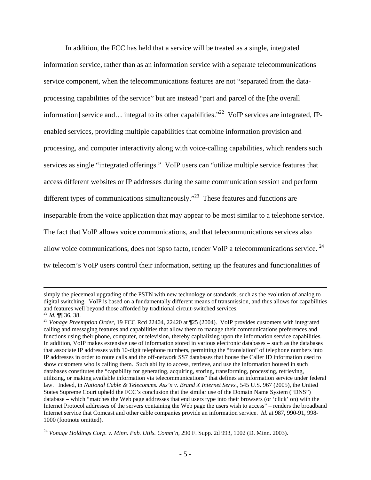In addition, the FCC has held that a service will be treated as a single, integrated information service, rather than as an information service with a separate telecommunications service component, when the telecommunications features are not "separated from the dataprocessing capabilities of the service" but are instead "part and parcel of the [the overall information] service and… integral to its other capabilities."<sup>22</sup> VoIP services are integrated, IPenabled services, providing multiple capabilities that combine information provision and processing, and computer interactivity along with voice-calling capabilities, which renders such services as single "integrated offerings." VoIP users can "utilize multiple service features that access different websites or IP addresses during the same communication session and perform different types of communications simultaneously."<sup>23</sup> These features and functions are inseparable from the voice application that may appear to be most similar to a telephone service. The fact that VoIP allows voice communications, and that telecommunications services also allow voice communications, does not ispso facto, render VoIP a telecommunications service. 24 tw telecom's VoIP users control their information, setting up the features and functionalities of

 $\overline{\phantom{a}}$ 

simply the piecemeal upgrading of the PSTN with new technology or standards, such as the evolution of analog to digital switching. VoIP is based on a fundamentally different means of transmission, and thus allows for capabilities and features well beyond those afforded by traditional circuit-switched services.  $^{22}$  *Id.*  $\P$  36, 38.

<sup>&</sup>lt;sup>23</sup> Vonage Preemption Order, 19 FCC Rcd 22404, 22420 at ¶25 (2004). VoIP provides customers with integrated calling and messaging features and capabilities that allow them to manage their communications preferences and functions using their phone, computer, or television, thereby capitalizing upon the information service capabilities. In addition, VoIP makes extensive use of information stored in various electronic databases – such as the databases that associate IP addresses with 10-digit telephone numbers, permitting the "translation" of telephone numbers into IP addresses in order to route calls and the off-network SS7 databases that house the Caller ID information used to show customers who is calling them. Such ability to access, retrieve, and use the information housed in such databases constitutes the "capability for generating, acquiring, storing, transforming, processing, retrieving, utilizing, or making available information via telecommunications" that defines an information service under federal law. Indeed, in *National Cable & Telecomms. Ass'n v. Brand X Internet Servs.*, 545 U.S. 967 (2005), the United States Supreme Court upheld the FCC's conclusion that the similar use of the Domain Name System ("DNS") database – which "matches the Web page addresses that end users type into their browsers (or 'click' on) with the Internet Protocol addresses of the servers containing the Web page the users wish to access" – renders the broadband Internet service that Comcast and other cable companies provide an information service. *Id.* at 987, 990-91, 998- 1000 (footnote omitted).

<sup>24</sup> *Vonage Holdings Corp. v. Minn. Pub. Utils. Comm'n,* 290 F. Supp. 2d 993, 1002 (D. Minn. 2003).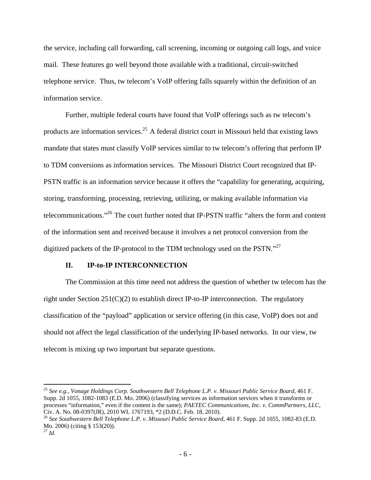the service, including call forwarding, call screening, incoming or outgoing call logs, and voice mail. These features go well beyond those available with a traditional, circuit-switched telephone service. Thus, tw telecom's VoIP offering falls squarely within the definition of an information service.

 Further, multiple federal courts have found that VoIP offerings such as tw telecom's products are information services.25 A federal district court in Missouri held that existing laws mandate that states must classify VoIP services similar to tw telecom's offering that perform IP to TDM conversions as information services. The Missouri District Court recognized that IP-PSTN traffic is an information service because it offers the "capability for generating, acquiring, storing, transforming, processing, retrieving, utilizing, or making available information via telecommunications."26 The court further noted that IP-PSTN traffic "alters the form and content of the information sent and received because it involves a net protocol conversion from the digitized packets of the IP-protocol to the TDM technology used on the PSTN."<sup>27</sup>

#### **II. IP-to-IP INTERCONNECTION**

The Commission at this time need not address the question of whether tw telecom has the right under Section  $251(C)(2)$  to establish direct IP-to-IP interconnection. The regulatory classification of the "payload" application or service offering (in this case, VoIP) does not and should not affect the legal classification of the underlying IP-based networks. In our view, tw telecom is mixing up two important but separate questions.

 $\overline{\phantom{a}}$ 

<sup>&</sup>lt;sup>25</sup> See e.g., Vonage Holdings Corp. Southwestern Bell Telephone L.P. v. Missouri Public Service Board, 461 F. Supp. 2d 1055, 1082-1083 (E.D. Mo. 2006) (classifying services as information services when it transforms or processes "information," even if the content is the same); *PAETEC Communications, Inc. v. CommPartners, LLC*, Civ. A. No. 08-0397(JR), 2010 WL 1767193, \*2 (D.D.C. Feb. 18, 2010).

<sup>&</sup>lt;sup>26</sup> See Southwestern Bell Telephone L.P. v. Missouri Public Service Board, 461 F. Supp. 2d 1055, 1082-83 (E.D. Mo. 2006) (citing § 153(20)). 27 *Id.*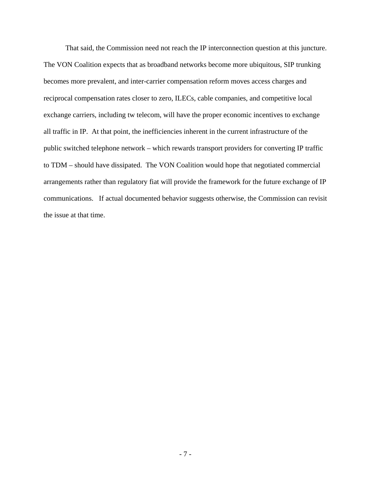That said, the Commission need not reach the IP interconnection question at this juncture. The VON Coalition expects that as broadband networks become more ubiquitous, SIP trunking becomes more prevalent, and inter-carrier compensation reform moves access charges and reciprocal compensation rates closer to zero, ILECs, cable companies, and competitive local exchange carriers, including tw telecom, will have the proper economic incentives to exchange all traffic in IP. At that point, the inefficiencies inherent in the current infrastructure of the public switched telephone network – which rewards transport providers for converting IP traffic to TDM – should have dissipated. The VON Coalition would hope that negotiated commercial arrangements rather than regulatory fiat will provide the framework for the future exchange of IP communications. If actual documented behavior suggests otherwise, the Commission can revisit the issue at that time.